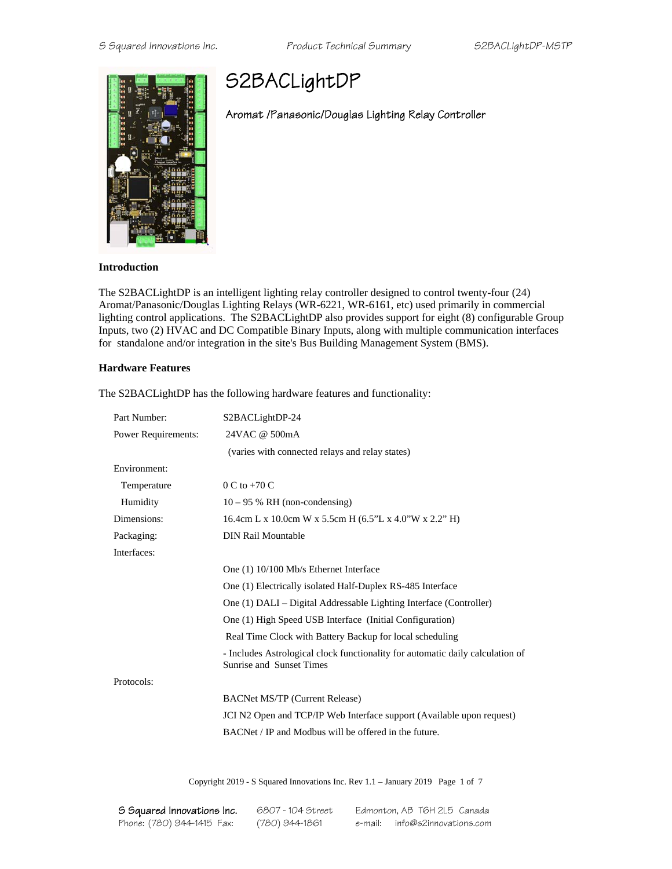

# S2BACLightDP

## Aromat /Panasonic/Douglas Lighting Relay Controller

#### **Introduction**

The S2BACLightDP is an intelligent lighting relay controller designed to control twenty-four (24) Aromat/Panasonic/Douglas Lighting Relays (WR-6221, WR-6161, etc) used primarily in commercial lighting control applications. The S2BACLightDP also provides support for eight (8) configurable Group Inputs, two (2) HVAC and DC Compatible Binary Inputs, along with multiple communication interfaces for standalone and/or integration in the site's Bus Building Management System (BMS).

### **Hardware Features**

| Part Number:        | S2BACLightDP-24                                                                                            |  |
|---------------------|------------------------------------------------------------------------------------------------------------|--|
| Power Requirements: | 24VAC @ 500mA                                                                                              |  |
|                     | (varies with connected relays and relay states)                                                            |  |
| Environment:        |                                                                                                            |  |
| Temperature         | $0 C$ to +70 C                                                                                             |  |
| Humidity            | $10 - 95$ % RH (non-condensing)                                                                            |  |
| Dimensions:         | 16.4cm L x 10.0cm W x 5.5cm H (6.5"L x 4.0"W x 2.2" H)                                                     |  |
| Packaging:          | <b>DIN Rail Mountable</b>                                                                                  |  |
| Interfaces:         |                                                                                                            |  |
|                     | One (1) 10/100 Mb/s Ethernet Interface                                                                     |  |
|                     | One (1) Electrically isolated Half-Duplex RS-485 Interface                                                 |  |
|                     | One (1) DALI – Digital Addressable Lighting Interface (Controller)                                         |  |
|                     | One (1) High Speed USB Interface (Initial Configuration)                                                   |  |
|                     | Real Time Clock with Battery Backup for local scheduling                                                   |  |
|                     | - Includes Astrological clock functionality for automatic daily calculation of<br>Sunrise and Sunset Times |  |
| Protocols:          |                                                                                                            |  |
|                     | <b>BACNet MS/TP (Current Release)</b>                                                                      |  |
|                     | JCI N2 Open and TCP/IP Web Interface support (Available upon request)                                      |  |
|                     | BACNet / IP and Modbus will be offered in the future.                                                      |  |

The S2BACLightDP has the following hardware features and functionality:

Copyright 2019 - S Squared Innovations Inc. Rev 1.1 – January 2019 Page 1 of 7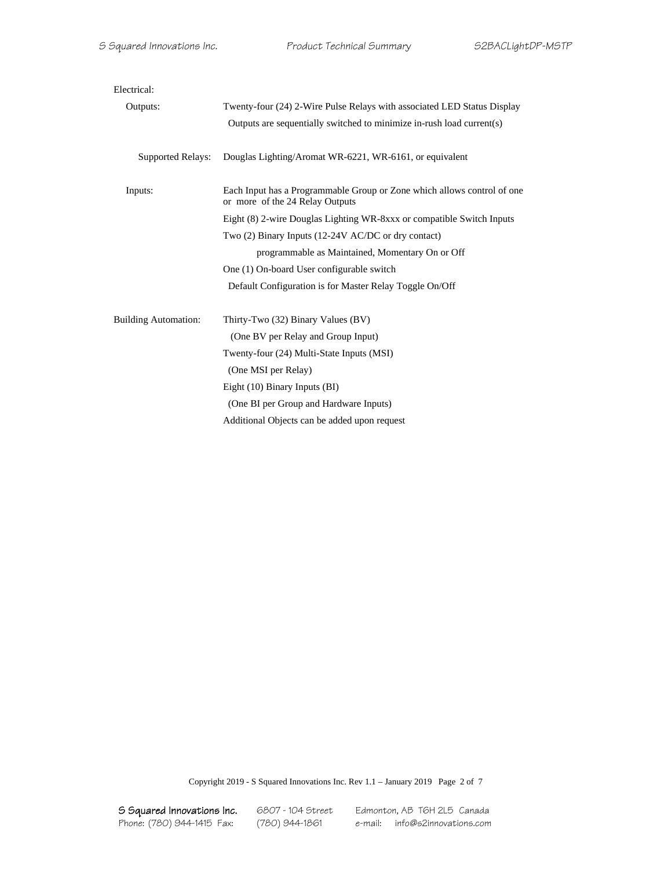| Electrical:                 |                                                                                                            |  |  |
|-----------------------------|------------------------------------------------------------------------------------------------------------|--|--|
| Outputs:                    | Twenty-four (24) 2-Wire Pulse Relays with associated LED Status Display                                    |  |  |
|                             | Outputs are sequentially switched to minimize in-rush load current(s)                                      |  |  |
| <b>Supported Relays:</b>    | Douglas Lighting/Aromat WR-6221, WR-6161, or equivalent                                                    |  |  |
| Inputs:                     | Each Input has a Programmable Group or Zone which allows control of one<br>or more of the 24 Relay Outputs |  |  |
|                             | Eight (8) 2-wire Douglas Lighting WR-8xxx or compatible Switch Inputs                                      |  |  |
|                             | Two (2) Binary Inputs (12-24V AC/DC or dry contact)                                                        |  |  |
|                             | programmable as Maintained, Momentary On or Off                                                            |  |  |
|                             | One (1) On-board User configurable switch                                                                  |  |  |
|                             | Default Configuration is for Master Relay Toggle On/Off                                                    |  |  |
| <b>Building Automation:</b> | Thirty-Two (32) Binary Values (BV)                                                                         |  |  |
|                             | (One BV per Relay and Group Input)                                                                         |  |  |
|                             | Twenty-four (24) Multi-State Inputs (MSI)                                                                  |  |  |
|                             | (One MSI per Relay)                                                                                        |  |  |
|                             | Eight $(10)$ Binary Inputs $(BI)$                                                                          |  |  |
|                             | (One BI per Group and Hardware Inputs)                                                                     |  |  |
|                             | Additional Objects can be added upon request                                                               |  |  |

Copyright 2019 - S Squared Innovations Inc. Rev 1.1 – January 2019 Page 2 of 7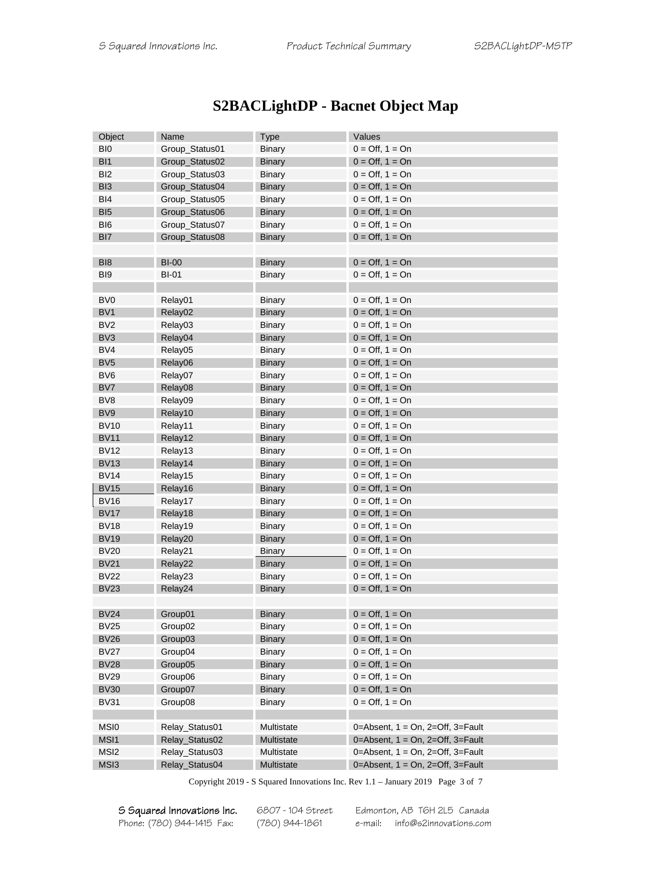| <b>S2BACLightDP - Bacnet Object Map</b> |  |  |  |
|-----------------------------------------|--|--|--|
|                                         |  |  |  |

| Object           | Name           | <b>Type</b>   | Values                                   |
|------------------|----------------|---------------|------------------------------------------|
| BI <sub>0</sub>  | Group_Status01 | <b>Binary</b> | $0 = \text{Off}, 1 = \text{On}$          |
| BI <sub>1</sub>  | Group_Status02 | <b>Binary</b> | $0 = \text{Off}, 1 = \text{On}$          |
| B <sub>12</sub>  | Group_Status03 | <b>Binary</b> | $0 = \text{Off}, 1 = \text{On}$          |
| BI <sub>3</sub>  | Group_Status04 | <b>Binary</b> | $0 = \text{Off}, 1 = \text{On}$          |
| BI4              | Group_Status05 | <b>Binary</b> | $0 = \text{Off}, 1 = \text{On}$          |
| BI <sub>5</sub>  | Group_Status06 | <b>Binary</b> | $0 = \text{Off}, 1 = \text{On}$          |
| BI <sub>6</sub>  | Group_Status07 | Binary        | $0 = \text{Off}, 1 = \text{On}$          |
| BI <sub>7</sub>  | Group_Status08 | <b>Binary</b> | $0 = \text{Off}, 1 = \text{On}$          |
|                  |                |               |                                          |
| BI <sub>8</sub>  | <b>BI-00</b>   | <b>Binary</b> | $0 = \text{Off}, 1 = \text{On}$          |
| BI <sub>9</sub>  | <b>BI-01</b>   | <b>Binary</b> | $0 = \text{Off}, 1 = \text{On}$          |
|                  |                |               |                                          |
| BV <sub>0</sub>  | Relay01        | <b>Binary</b> | $0 = \text{Off}, 1 = \text{On}$          |
| BV <sub>1</sub>  | Relay02        | <b>Binary</b> | $0 = \text{Off}, 1 = \text{On}$          |
| BV <sub>2</sub>  | Relay03        | <b>Binary</b> | $0 = \text{Off}, 1 = \text{On}$          |
| BV <sub>3</sub>  | Relay04        | <b>Binary</b> | $0 = \text{Off}, 1 = \text{On}$          |
| BV4              | Relay05        | Binary        | $0 = \text{Off}, 1 = \text{On}$          |
| BV <sub>5</sub>  | Relay06        | <b>Binary</b> | $0 = \text{Off}, 1 = \text{On}$          |
| BV <sub>6</sub>  | Relay07        | <b>Binary</b> | $0 = \text{Off}, 1 = \text{On}$          |
| BV7              | Relay08        | <b>Binary</b> | $0 = \text{Off}, 1 = \text{On}$          |
| BV <sub>8</sub>  | Relay09        | Binary        | $0 = \text{Off}, 1 = \text{On}$          |
| BV <sub>9</sub>  | Relay10        | <b>Binary</b> | $0 = \text{Off}, 1 = \text{On}$          |
| <b>BV10</b>      | Relay11        | Binary        | $0 = \text{Off}, 1 = \text{On}$          |
| <b>BV11</b>      | Relay12        | <b>Binary</b> | $0 = \text{Off}, 1 = \text{On}$          |
| <b>BV12</b>      | Relay13        | <b>Binary</b> | $0 = \text{Off}, 1 = \text{On}$          |
| <b>BV13</b>      | Relay14        | <b>Binary</b> | $0 = \text{Off}, 1 = \text{On}$          |
| <b>BV14</b>      | Relay15        | Binary        | $0 = \text{Off}, 1 = \text{On}$          |
| <b>BV15</b>      | Relay16        | <b>Binary</b> | $0 = \text{Off}, 1 = \text{On}$          |
| <b>BV16</b>      | Relay17        | Binary        | $0 = \text{Off}, 1 = \text{On}$          |
| <b>BV17</b>      | Relay18        | <b>Binary</b> | $0 = \text{Off}, 1 = \text{On}$          |
| <b>BV18</b>      | Relay19        | Binary        | $0 = \text{Off}, 1 = \text{On}$          |
| <b>BV19</b>      | Relay20        | <b>Binary</b> | $0 = \text{Off}, 1 = \text{On}$          |
| <b>BV20</b>      | Relay21        | <b>Binary</b> | $0 = \text{Off}, 1 = \text{On}$          |
| <b>BV21</b>      | Relay22        | <b>Binary</b> | $0 = \text{Off}, 1 = \text{On}$          |
| <b>BV22</b>      | Relay23        | Binary        | $0 = \text{Off}, 1 = \text{On}$          |
| <b>BV23</b>      | Relay24        | <b>Binary</b> | $0 = \text{Off}, 1 = \text{On}$          |
|                  |                |               |                                          |
| <b>BV24</b>      | Group01        | <b>Binary</b> | $0 = \text{Off}, 1 = \text{On}$          |
| BV25             | Group02        | Binary        | $0 = \text{Off}, 1 = \text{On}$          |
| <b>BV26</b>      | Group03        | <b>Binary</b> | $0 = \text{Off}, 1 = \text{On}$          |
| <b>BV27</b>      | Group04        | Binary        | $0 = \text{Off}, 1 = \text{On}$          |
| <b>BV28</b>      | Group05        | <b>Binary</b> | $0 = \text{Off}, 1 = \text{On}$          |
| <b>BV29</b>      | Group06        | <b>Binary</b> | $0 = \text{Off}, 1 = \text{On}$          |
| <b>BV30</b>      | Group07        | <b>Binary</b> | $0 = \text{Off}, 1 = \text{On}$          |
| <b>BV31</b>      | Group08        | <b>Binary</b> | $0 = \text{Off}, 1 = \text{On}$          |
|                  |                |               |                                          |
| MSI <sub>0</sub> | Relay_Status01 | Multistate    | 0=Absent, $1 = On$ , $2=Off$ , $3=Full$  |
| MSI1             | Relay_Status02 | Multistate    | 0=Absent, $1 = On$ , $2=Off$ , $3=Pault$ |
| MSI <sub>2</sub> | Relay_Status03 | Multistate    | 0=Absent, $1 = On$ , $2=Off$ , $3=Pault$ |
| MSI3             | Relay_Status04 | Multistate    | 0=Absent, $1 = On$ , $2=Off$ , $3=Pault$ |
|                  |                |               |                                          |

Copyright 2019 - S Squared Innovations Inc. Rev 1.1 – January 2019 Page 3 of 7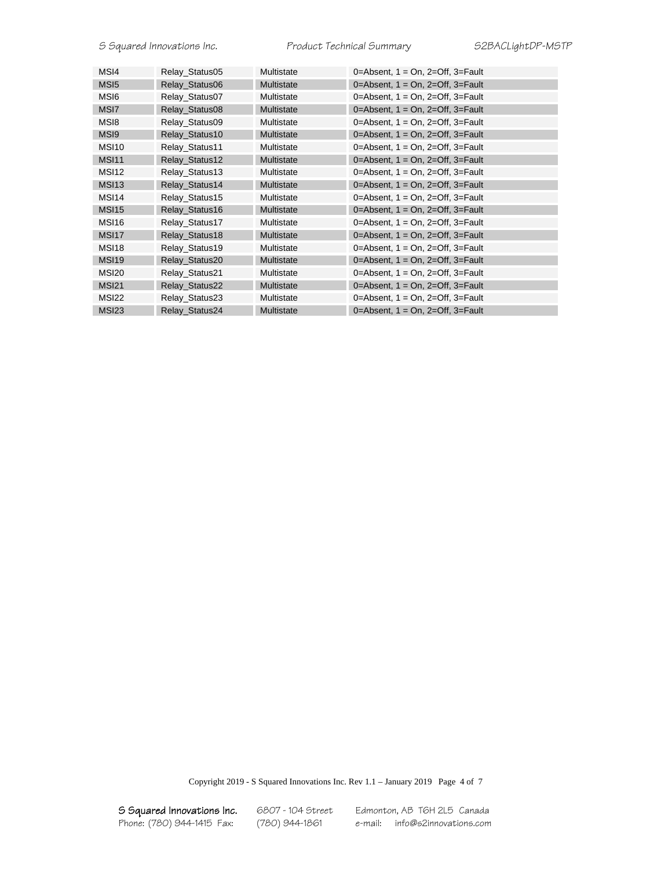| MS <sub>14</sub>  | Relay Status05 | Multistate        | 0=Absent, $1 = On$ , $2=Off$ , $3=Pault$ |
|-------------------|----------------|-------------------|------------------------------------------|
| MS <sub>15</sub>  | Relay Status06 | Multistate        | 0=Absent, $1 = On$ , $2=Off$ , $3=Full$  |
| MS <sub>16</sub>  | Relay_Status07 | Multistate        | 0=Absent, $1 = On$ , $2=Off$ , $3=Pault$ |
| MSI <sub>7</sub>  | Relay Status08 | Multistate        | 0=Absent, $1 = On$ , $2=Off$ , $3=Pault$ |
| MS <sub>18</sub>  | Relay Status09 | Multistate        | 0=Absent, $1 = On$ , $2=Off$ , $3=Pault$ |
| MS <sub>19</sub>  | Relay Status10 | Multistate        | 0=Absent, $1 = On$ , $2=Off$ , $3=Pault$ |
| MSI <sub>10</sub> | Relay Status11 | Multistate        | 0=Absent, $1 = On$ , $2=Off$ , $3=Pault$ |
| <b>MSI11</b>      | Relay Status12 | Multistate        | 0=Absent, $1 = On$ , $2=Off$ , $3=Pault$ |
| <b>MSI12</b>      | Relay Status13 | Multistate        | 0=Absent, $1 = On$ , $2=Off$ , $3=Full$  |
| <b>MSI13</b>      | Relay Status14 | Multistate        | 0=Absent, $1 = On$ , $2=Off$ , $3=Pault$ |
| MSI <sub>14</sub> | Relay Status15 | Multistate        | 0=Absent, $1 = On$ , $2=Off$ , $3=Pault$ |
| <b>MSI15</b>      | Relay Status16 | Multistate        | 0=Absent, $1 = On$ , $2=Off$ , $3=Pault$ |
| MSI <sub>16</sub> | Relay Status17 | Multistate        | 0=Absent, $1 = On$ , $2=Off$ , $3=Full$  |
| MSI <sub>17</sub> | Relay Status18 | Multistate        | 0=Absent, $1 = On$ , $2=Off$ , $3=Pault$ |
| <b>MSI18</b>      | Relay Status19 | Multistate        | 0=Absent, $1 = On$ , $2=Off$ , $3=Pault$ |
| <b>MSI19</b>      | Relay Status20 | Multistate        | 0=Absent, $1 = On$ , $2=Off$ , $3=Pault$ |
| <b>MSI20</b>      | Relay Status21 | Multistate        | 0=Absent, $1 = On$ , $2=Off$ , $3=Pault$ |
| <b>MSI21</b>      | Relay_Status22 | Multistate        | 0=Absent, $1 = On$ , $2=Off$ , $3=Pault$ |
| MSI <sub>22</sub> | Relay Status23 | Multistate        | 0=Absent, $1 = On$ , $2=Off$ , $3=Pault$ |
| <b>MSI23</b>      | Relay Status24 | <b>Multistate</b> | 0=Absent, $1 = On$ , $2=Off$ , $3=Pault$ |
|                   |                |                   |                                          |

Copyright 2019 - S Squared Innovations Inc. Rev 1.1 – January 2019 Page 4 of 7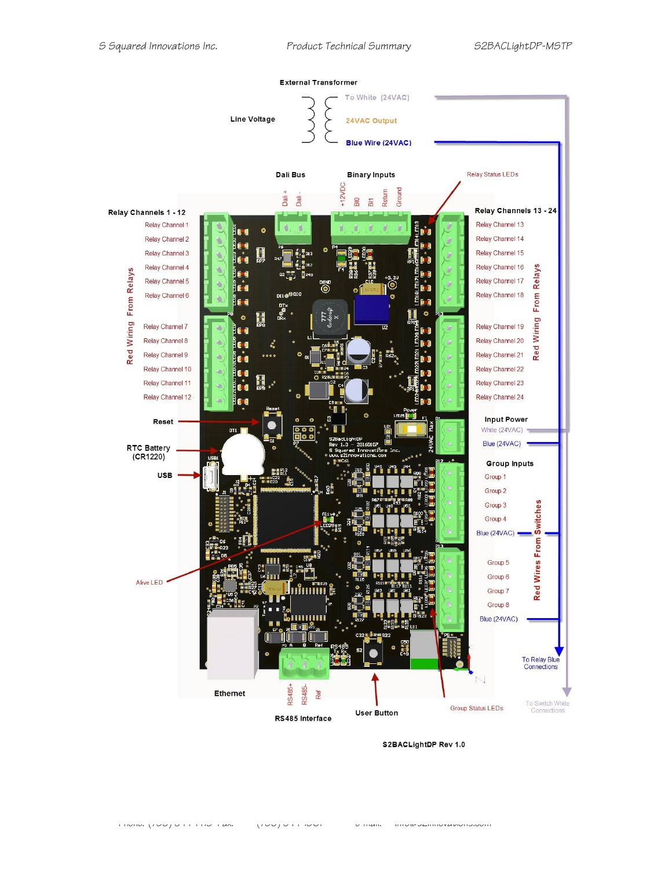

Phone: (780) 944-1415 Fax: (780) 944-1861 e-mail: info@s2innovations.com

S2BACLightDP Rev 1.0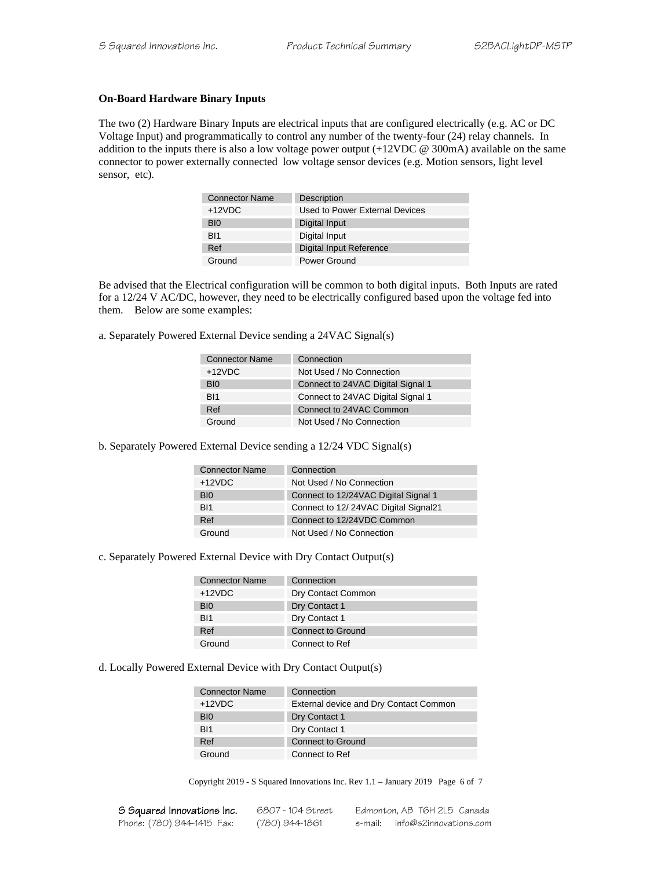#### **On-Board Hardware Binary Inputs**

The two (2) Hardware Binary Inputs are electrical inputs that are configured electrically (e.g. AC or DC Voltage Input) and programmatically to control any number of the twenty-four (24) relay channels. In addition to the inputs there is also a low voltage power output (+12VDC @ 300mA) available on the same connector to power externally connected low voltage sensor devices (e.g. Motion sensors, light level sensor, etc).

| <b>Connector Name</b> | <b>Description</b>             |
|-----------------------|--------------------------------|
| $+12VDC$              | Used to Power External Devices |
| BI0                   | Digital Input                  |
| B <sub>11</sub>       | Digital Input                  |
| Ref                   | Digital Input Reference        |
| Ground                | Power Ground                   |

Be advised that the Electrical configuration will be common to both digital inputs. Both Inputs are rated for a 12/24 V AC/DC, however, they need to be electrically configured based upon the voltage fed into them. Below are some examples:

a. Separately Powered External Device sending a 24VAC Signal(s)

| Connection                        |
|-----------------------------------|
| Not Used / No Connection          |
| Connect to 24VAC Digital Signal 1 |
| Connect to 24VAC Digital Signal 1 |
| Connect to 24VAC Common           |
| Not Used / No Connection          |
|                                   |

b. Separately Powered External Device sending a 12/24 VDC Signal(s)

| <b>Connector Name</b> | Connection                           |
|-----------------------|--------------------------------------|
| $+12VDC$              | Not Used / No Connection             |
| B <sub>IO</sub>       | Connect to 12/24VAC Digital Signal 1 |
| BI1                   | Connect to 12/24VAC Digital Signal21 |
| Ref                   | Connect to 12/24VDC Common           |
| Ground                | Not Used / No Connection             |

c. Separately Powered External Device with Dry Contact Output(s)

| <b>Connector Name</b> | Connection               |
|-----------------------|--------------------------|
| $+12VDC$              | Dry Contact Common       |
| B <sub>I0</sub>       | Dry Contact 1            |
| B <sub>11</sub>       | Dry Contact 1            |
| Ref                   | <b>Connect to Ground</b> |
| Ground                | Connect to Ref           |

d. Locally Powered External Device with Dry Contact Output(s)

| <b>Connector Name</b> | Connection                             |
|-----------------------|----------------------------------------|
| $+12VDC$              | External device and Dry Contact Common |
| B <sub>I0</sub>       | Dry Contact 1                          |
| B <sub>11</sub>       | Dry Contact 1                          |
| Ref                   | Connect to Ground                      |
| Ground                | Connect to Ref                         |

Copyright 2019 - S Squared Innovations Inc. Rev 1.1 – January 2019 Page 6 of 7